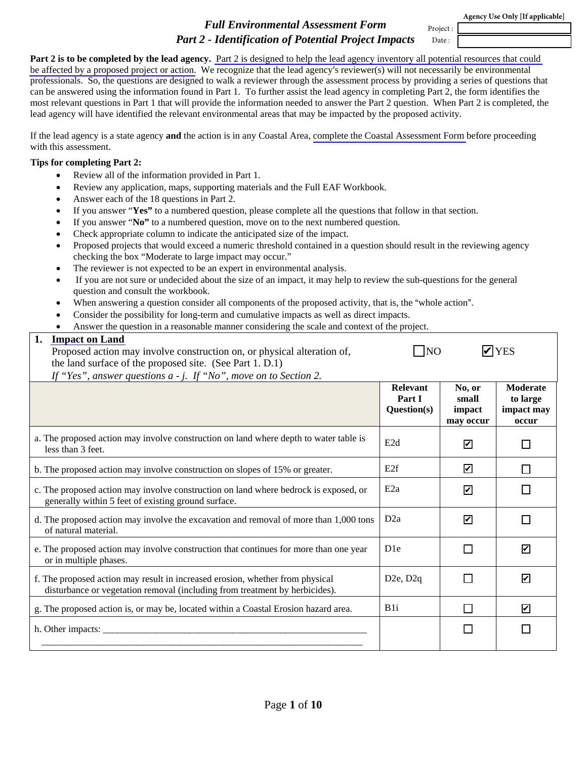#### **Agency Use Only [If applicable]**

Project : Date :

## *Full Environmental Assessment Form Part 2 - Identification of Potential Project Impacts*

**Part 2 is to be completed by the lead agency.** Part 2 is designed to help the lead agency inventory all potential resources that could [be affected by a proposed project or action.](http://www.dec.ny.gov/permits/91690.html) We recognize that the lead agency's reviewer(s) will not necessarily be environmental professionals. So, the questions are designed to walk a reviewer through the assessment process by providing a series of questions that can be answered using the information found in Part 1. To further assist the lead agency in completing Part 2, the form identifies the most relevant questions in Part 1 that will provide the information needed to answer the Part 2 question. When Part 2 is completed, the lead agency will have identified the relevant environmental areas that may be impacted by the proposed activity.

If the lead agency is a state agency **and** the action is in any Coastal Area, [complete the Coastal Assessment Form](http://www.dec.ny.gov/permits/91704.html) before proceeding with this assessment.

#### **Tips for completing Part 2:**

- Review all of the information provided in Part 1.
- Review any application, maps, supporting materials and the Full EAF Workbook.
- Answer each of the 18 questions in Part 2.
- If you answer "**Yes"** to a numbered question, please complete all the questions that follow in that section.
- If you answer "**No"** to a numbered question, move on to the next numbered question.
- Check appropriate column to indicate the anticipated size of the impact.
- Proposed projects that would exceed a numeric threshold contained in a question should result in the reviewing agency checking the box "Moderate to large impact may occur."
- The reviewer is not expected to be an expert in environmental analysis.
- If you are not sure or undecided about the size of an impact, it may help to review the sub-questions for the general question and consult the workbook.
- When answering a question consider all components of the proposed activity, that is, the "whole action".
- Consider the possibility for long-term and cumulative impacts as well as direct impacts.
- Answer the question in a reasonable manner considering the scale and context of the project.

### **1. [Impact on Land](http://www.dec.ny.gov/permits/91709.html)**

| Proposed action may involve construction on, or physical alteration of,<br>the land surface of the proposed site. (See Part 1. D.1)<br>If "Yes", answer questions a - j. If "No", move on to Section 2. | <b>INO</b>                               |                                        | <b>YES</b>                                         |
|---------------------------------------------------------------------------------------------------------------------------------------------------------------------------------------------------------|------------------------------------------|----------------------------------------|----------------------------------------------------|
|                                                                                                                                                                                                         | <b>Relevant</b><br>Part I<br>Question(s) | No, or<br>small<br>impact<br>may occur | <b>Moderate</b><br>to large<br>impact may<br>occur |
| a. The proposed action may involve construction on land where depth to water table is<br>less than 3 feet.                                                                                              | E <sub>2d</sub>                          | $\blacktriangledown$                   | $\mathsf{L}$                                       |
| b. The proposed action may involve construction on slopes of 15% or greater.                                                                                                                            | E <sub>2f</sub>                          | ☑                                      | П                                                  |
| c. The proposed action may involve construction on land where bedrock is exposed, or<br>generally within 5 feet of existing ground surface.                                                             | E2a                                      | $\blacktriangledown$                   | П                                                  |
| d. The proposed action may involve the excavation and removal of more than 1,000 tons<br>of natural material.                                                                                           | D2a                                      | $\blacktriangledown$                   | П                                                  |
| e. The proposed action may involve construction that continues for more than one year<br>or in multiple phases.                                                                                         | D <sub>1</sub> e                         |                                        | ☑                                                  |
| f. The proposed action may result in increased erosion, whether from physical<br>disturbance or vegetation removal (including from treatment by herbicides).                                            | D2e, D2q                                 | П                                      | $\blacktriangledown$                               |
| g. The proposed action is, or may be, located within a Coastal Erosion hazard area.                                                                                                                     | B <sub>1</sub>                           | П                                      | ☑                                                  |
|                                                                                                                                                                                                         |                                          |                                        |                                                    |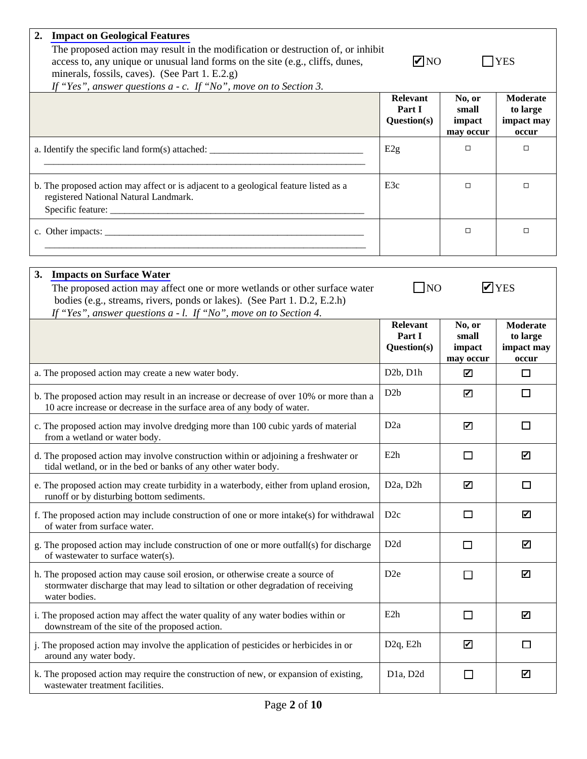| 2.<br><b>Impact on Geological Features</b><br>The proposed action may result in the modification or destruction of, or inhibit<br>access to, any unique or unusual land forms on the site (e.g., cliffs, dunes,<br>minerals, fossils, caves). (See Part 1. E.2.g)<br>If "Yes", answer questions $a$ - $c$ . If "No", move on to Section 3. | $\nabla$ NO                              |                                        | <b>YES</b>                                  |
|--------------------------------------------------------------------------------------------------------------------------------------------------------------------------------------------------------------------------------------------------------------------------------------------------------------------------------------------|------------------------------------------|----------------------------------------|---------------------------------------------|
|                                                                                                                                                                                                                                                                                                                                            | <b>Relevant</b><br>Part I<br>Question(s) | No, or<br>small<br>impact<br>may occur | Moderate<br>to large<br>impact may<br>occur |
| a. Identify the specific land form(s) attached: _________________________________                                                                                                                                                                                                                                                          | E2g                                      | $\Box$                                 | $\Box$                                      |
| b. The proposed action may affect or is adjacent to a geological feature listed as a<br>registered National Natural Landmark.                                                                                                                                                                                                              | E3c                                      | $\Box$                                 | □                                           |
|                                                                                                                                                                                                                                                                                                                                            |                                          | $\Box$                                 | $\Box$                                      |
|                                                                                                                                                                                                                                                                                                                                            |                                          |                                        |                                             |
| 3.<br><b>Impacts on Surface Water</b><br>The proposed action may affect one or more wetlands or other surface water<br>bodies (e.g., streams, rivers, ponds or lakes). (See Part 1. D.2, E.2.h)<br>If "Yes", answer questions $a - l$ . If "No", move on to Section 4.                                                                     | $\Box$ NO                                |                                        | $\blacksquare$ YES                          |
|                                                                                                                                                                                                                                                                                                                                            | Relevant<br>Part I<br>Question(s)        | No, or<br>small<br>impact<br>may occur | Moderate<br>to large<br>impact may<br>occur |
| a. The proposed action may create a new water body.                                                                                                                                                                                                                                                                                        | D <sub>2</sub> b, D <sub>1</sub> h       | M                                      | $\Box$                                      |
| b. The proposed action may result in an increase or decrease of over 10% or more than a<br>10 acre increase or decrease in the surface area of any body of water.                                                                                                                                                                          | D2b                                      | M                                      | $\Box$                                      |
| c. The proposed action may involve dredging more than 100 cubic yards of material<br>from a wetland or water body.                                                                                                                                                                                                                         | D <sub>2</sub> a                         | ☑                                      | $\Box$                                      |
| d. The proposed action may involve construction within or adjoining a freshwater or<br>tidal wetland, or in the bed or banks of any other water body.                                                                                                                                                                                      | E2h                                      | $\Box$                                 | V                                           |
| e. The proposed action may create turbidity in a waterbody, either from upland erosion,<br>runoff or by disturbing bottom sediments.                                                                                                                                                                                                       | D <sub>2</sub> a, D <sub>2</sub> h       | M                                      | □                                           |
| f. The proposed action may include construction of one or more intake(s) for withdrawal<br>of water from surface water.                                                                                                                                                                                                                    | D <sub>2c</sub>                          | □                                      | V                                           |
| g. The proposed action may include construction of one or more outfall(s) for discharge<br>of wastewater to surface water(s).                                                                                                                                                                                                              | D <sub>2</sub> d                         | $\Box$                                 | V                                           |
| h. The proposed action may cause soil erosion, or otherwise create a source of<br>stormwater discharge that may lead to siltation or other degradation of receiving<br>water bodies.                                                                                                                                                       | D <sub>2</sub> e                         | □                                      | V                                           |
| i. The proposed action may affect the water quality of any water bodies within or<br>downstream of the site of the proposed action.                                                                                                                                                                                                        | E2h                                      | $\Box$                                 | V                                           |
| j. The proposed action may involve the application of pesticides or herbicides in or<br>around any water body.                                                                                                                                                                                                                             | $D2q$ , E2h                              | 叼                                      | □                                           |
| k. The proposed action may require the construction of new, or expansion of existing,<br>wastewater treatment facilities.                                                                                                                                                                                                                  | D <sub>1</sub> a, D <sub>2</sub> d       | □                                      | V                                           |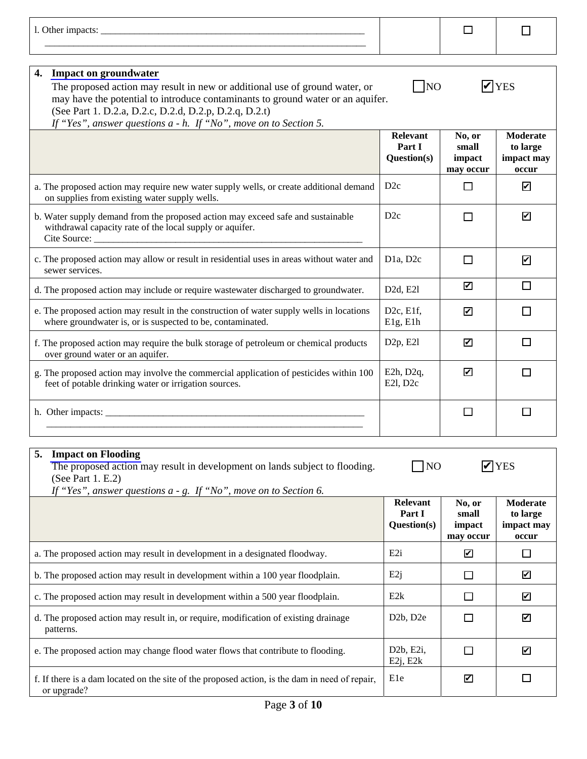l. Other impacts: \_\_\_\_\_\_\_\_\_\_\_\_\_\_\_\_\_\_\_\_\_\_\_\_\_\_\_\_\_\_\_\_\_\_\_\_\_\_\_\_\_\_\_\_\_\_\_\_\_\_\_\_\_\_\_ \_\_\_\_\_\_\_\_\_\_\_\_\_\_\_\_\_\_\_\_\_\_\_\_\_\_\_\_\_\_\_\_\_\_\_\_\_\_\_\_\_\_\_\_\_\_\_\_\_\_\_\_\_\_\_\_\_\_\_\_\_\_\_\_\_\_\_ 9 9 **4. [Impact on groundwater](http://www.dec.ny.gov/permits/91724.html)** The proposed action may result in new or additional use of ground water, or  $\nabla$ NO may have the potential to introduce contaminants to ground water or an aquifer. (See Part 1. D.2.a, D.2.c, D.2.d, D.2.p, D.2.q, D.2.t) *If "Yes", answer questions a - h. If "No", move on to Section 5.*  **Relevant Part I Question(s) No, or small impact may occur Moderate to large impact may occur**  a. The proposed action may require new water supply wells, or create additional demand on supplies from existing water supply wells. D2c  $\Box$   $\Box$ b. Water supply demand from the proposed action may exceed safe and sustainable withdrawal capacity rate of the local supply or aquifer. Cite Source: D2c  $\Box$   $\Box$ c. The proposed action may allow or result in residential uses in areas without water and sewer services. D<sub>1</sub>a, D<sub>2</sub>c  $\Box$ d. The proposed action may include or require wastewater discharged to groundwater.  $\big|$  D2d, E2l  $\big|$   $\blacksquare$ e. The proposed action may result in the construction of water supply wells in locations where groundwater is, or is suspected to be, contaminated. D2c, E1f, E1g, E1h 9 9 ✔ f. The proposed action may require the bulk storage of petroleum or chemical products over ground water or an aquifer. D2p, E2l  $\Box$ g. The proposed action may involve the commercial application of pesticides within 100 E2h, D2q,  $\Box$  $\nabla$  YES ✔ ✔  $\blacktriangledown$ ✔ ✔ ✔

| h. Other impacts: |  |  |
|-------------------|--|--|
|                   |  |  |
|                   |  |  |

E2l, D2c

feet of potable drinking water or irrigation sources.

| 5.<br><b>Impact on Flooding</b><br>The proposed action may result in development on lands subject to flooding.<br>(See Part 1. $E.2$ )<br>If "Yes", answer questions $a - g$ . If "No", move on to Section 6. | N <sub>O</sub>                           |                                        | $\nabla$ YES                                       |
|---------------------------------------------------------------------------------------------------------------------------------------------------------------------------------------------------------------|------------------------------------------|----------------------------------------|----------------------------------------------------|
|                                                                                                                                                                                                               | <b>Relevant</b><br>Part I<br>Question(s) | No, or<br>small<br>impact<br>may occur | <b>Moderate</b><br>to large<br>impact may<br>occur |
| a. The proposed action may result in development in a designated floodway.                                                                                                                                    | E <sub>2i</sub>                          | ☑                                      |                                                    |
| b. The proposed action may result in development within a 100 year floodplain.                                                                                                                                | E2j                                      | П                                      | M                                                  |
| c. The proposed action may result in development within a 500 year floodplain.                                                                                                                                | E2k                                      | П                                      | M                                                  |
| d. The proposed action may result in, or require, modification of existing drainage<br>patterns.                                                                                                              | D2b, D2e                                 | П                                      | ☑                                                  |
| e. The proposed action may change flood water flows that contribute to flooding.                                                                                                                              | D2b, E2i,<br>E2j, E2k                    | П                                      | ☑                                                  |
| f. If there is a dam located on the site of the proposed action, is the dam in need of repair,<br>or upgrade?                                                                                                 | E <sub>1e</sub>                          | M                                      | $\Box$                                             |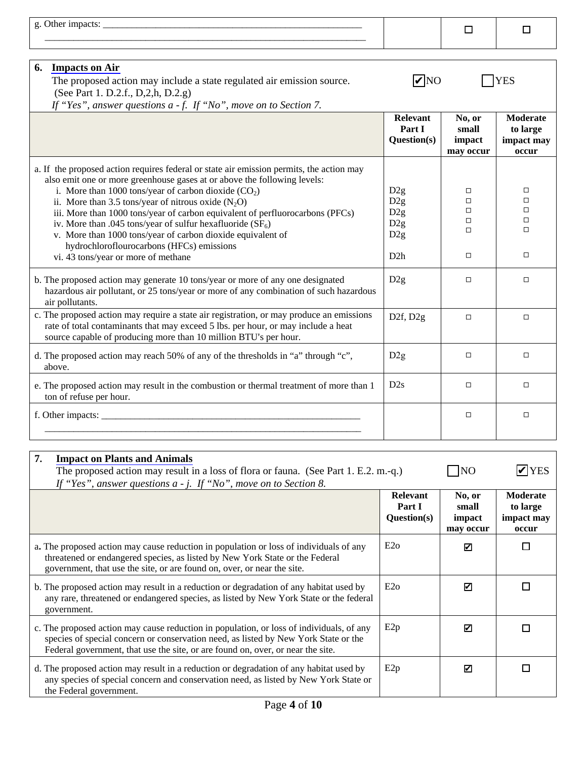| 6. Impacts on Air<br>The proposed action may include a state regulated air emission source.<br>(See Part 1. D.2.f., D,2,h, D.2.g)<br>If "Yes", answer questions $a - f$ . If "No", move on to Section 7.<br>a. If the proposed action requires federal or state air emission permits, the action may<br>also emit one or more greenhouse gases at or above the following levels:<br>i. More than 1000 tons/year of carbon dioxide $(CO2)$<br>D2g<br>D2g<br>ii. More than 3.5 tons/year of nitrous oxide $(N_2O)$<br>D2g<br>iii. More than 1000 tons/year of carbon equivalent of perfluorocarbons (PFCs)<br>D2g<br>iv. More than .045 tons/year of sulfur hexafluoride $(SF_6)$<br>v. More than 1000 tons/year of carbon dioxide equivalent of<br>D2g<br>hydrochloroflourocarbons (HFCs) emissions<br>D2h<br>vi. 43 tons/year or more of methane<br>D2g<br>b. The proposed action may generate 10 tons/year or more of any one designated<br>hazardous air pollutant, or 25 tons/year or more of any combination of such hazardous<br>air pollutants. | $\sqrt{NQ}$<br>Relevant<br>Part I<br>Question(s) | No, or<br>small<br>impact<br>may occur                   | <b>YES</b><br>Moderate<br>to large<br>impact may<br>occur |
|-------------------------------------------------------------------------------------------------------------------------------------------------------------------------------------------------------------------------------------------------------------------------------------------------------------------------------------------------------------------------------------------------------------------------------------------------------------------------------------------------------------------------------------------------------------------------------------------------------------------------------------------------------------------------------------------------------------------------------------------------------------------------------------------------------------------------------------------------------------------------------------------------------------------------------------------------------------------------------------------------------------------------------------------------------|--------------------------------------------------|----------------------------------------------------------|-----------------------------------------------------------|
|                                                                                                                                                                                                                                                                                                                                                                                                                                                                                                                                                                                                                                                                                                                                                                                                                                                                                                                                                                                                                                                       |                                                  |                                                          |                                                           |
|                                                                                                                                                                                                                                                                                                                                                                                                                                                                                                                                                                                                                                                                                                                                                                                                                                                                                                                                                                                                                                                       |                                                  |                                                          |                                                           |
|                                                                                                                                                                                                                                                                                                                                                                                                                                                                                                                                                                                                                                                                                                                                                                                                                                                                                                                                                                                                                                                       |                                                  | $\Box$<br>$\Box$<br>$\Box$<br>$\Box$<br>$\Box$<br>$\Box$ | □<br>$\Box$<br>$\Box$<br>$\Box$<br>$\Box$<br>□            |
|                                                                                                                                                                                                                                                                                                                                                                                                                                                                                                                                                                                                                                                                                                                                                                                                                                                                                                                                                                                                                                                       |                                                  | $\Box$                                                   | $\Box$                                                    |
| c. The proposed action may require a state air registration, or may produce an emissions<br>rate of total contaminants that may exceed 5 lbs. per hour, or may include a heat<br>source capable of producing more than 10 million BTU's per hour.                                                                                                                                                                                                                                                                                                                                                                                                                                                                                                                                                                                                                                                                                                                                                                                                     | D <sub>2f</sub> , D <sub>2g</sub>                | $\Box$                                                   | $\Box$                                                    |
| D2g<br>d. The proposed action may reach 50% of any of the thresholds in "a" through "c",<br>above.                                                                                                                                                                                                                                                                                                                                                                                                                                                                                                                                                                                                                                                                                                                                                                                                                                                                                                                                                    |                                                  | $\Box$                                                   | $\Box$                                                    |
| D2s<br>e. The proposed action may result in the combustion or thermal treatment of more than 1<br>ton of refuse per hour.                                                                                                                                                                                                                                                                                                                                                                                                                                                                                                                                                                                                                                                                                                                                                                                                                                                                                                                             |                                                  | $\Box$                                                   | $\Box$                                                    |
|                                                                                                                                                                                                                                                                                                                                                                                                                                                                                                                                                                                                                                                                                                                                                                                                                                                                                                                                                                                                                                                       |                                                  | $\Box$                                                   | $\Box$                                                    |

| The proposed action may result in a loss of flora or fauna. (See Part 1. E.2. m.-q.)                                                                                                                                                                               |                                          | ]NO                                    | <b>YES</b>                                         |
|--------------------------------------------------------------------------------------------------------------------------------------------------------------------------------------------------------------------------------------------------------------------|------------------------------------------|----------------------------------------|----------------------------------------------------|
| If "Yes", answer questions $a - j$ . If "No", move on to Section 8.                                                                                                                                                                                                | <b>Relevant</b><br>Part I<br>Question(s) | No, or<br>small<br>impact<br>may occur | <b>Moderate</b><br>to large<br>impact may<br>occur |
| a. The proposed action may cause reduction in population or loss of individuals of any<br>threatened or endangered species, as listed by New York State or the Federal<br>government, that use the site, or are found on, over, or near the site.                  | E2o                                      | Ø                                      | □                                                  |
| b. The proposed action may result in a reduction or degradation of any habitat used by<br>any rare, threatened or endangered species, as listed by New York State or the federal<br>government.                                                                    | E <sub>2</sub> o                         | Ø                                      | П                                                  |
| c. The proposed action may cause reduction in population, or loss of individuals, of any<br>species of special concern or conservation need, as listed by New York State or the<br>Federal government, that use the site, or are found on, over, or near the site. | E2p                                      | Z                                      | П                                                  |
| d. The proposed action may result in a reduction or degradation of any habitat used by<br>any species of special concern and conservation need, as listed by New York State or<br>the Federal government.                                                          | E2p                                      | Z                                      | □                                                  |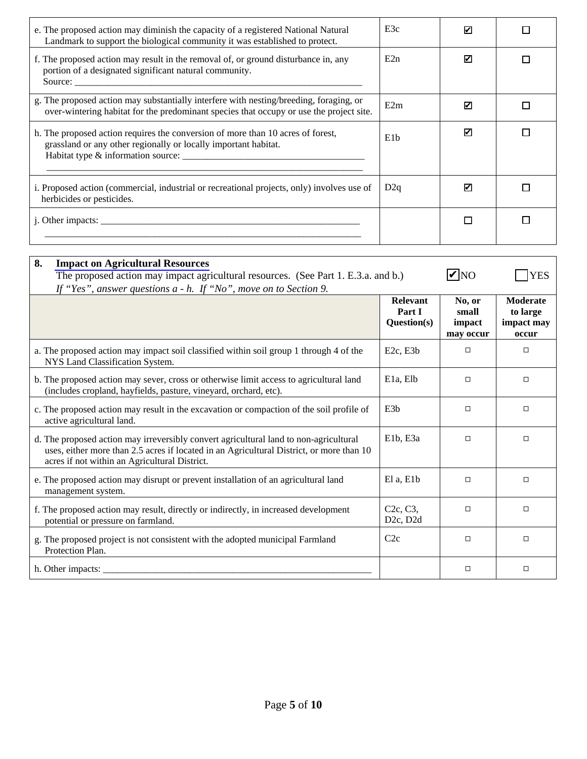| e. The proposed action may diminish the capacity of a registered National Natural<br>Landmark to support the biological community it was established to protect.                  | E <sub>3</sub> c | И |  |
|-----------------------------------------------------------------------------------------------------------------------------------------------------------------------------------|------------------|---|--|
| f. The proposed action may result in the removal of, or ground disturbance in, any<br>portion of a designated significant natural community.                                      | E2n              | И |  |
| g. The proposed action may substantially interfere with nesting/breeding, foraging, or<br>over-wintering habitat for the predominant species that occupy or use the project site. | E2m              | И |  |
| h. The proposed action requires the conversion of more than 10 acres of forest,<br>grassland or any other regionally or locally important habitat.                                | E1 <sub>b</sub>  | И |  |
| i. Proposed action (commercial, industrial or recreational projects, only) involves use of<br>herbicides or pesticides.                                                           | D2q              | И |  |
|                                                                                                                                                                                   |                  |   |  |

| 8.<br><b>Impact on Agricultural Resources</b><br>The proposed action may impact agricultural resources. (See Part 1. E.3.a. and b.)<br>If "Yes", answer questions $a - h$ . If "No", move on to Section 9.                         |                                               | $ V $ NO                               | <b>YES</b>                                         |
|------------------------------------------------------------------------------------------------------------------------------------------------------------------------------------------------------------------------------------|-----------------------------------------------|----------------------------------------|----------------------------------------------------|
|                                                                                                                                                                                                                                    | Relevant<br>Part I<br>Question(s)             | No, or<br>small<br>impact<br>may occur | <b>Moderate</b><br>to large<br>impact may<br>occur |
| a. The proposed action may impact soil classified within soil group 1 through 4 of the<br>NYS Land Classification System.                                                                                                          | E2c, E3b                                      | $\Box$                                 | □                                                  |
| b. The proposed action may sever, cross or otherwise limit access to agricultural land<br>(includes cropland, hayfields, pasture, vineyard, orchard, etc).                                                                         | E <sub>1</sub> a, Elb                         | $\Box$                                 | $\Box$                                             |
| c. The proposed action may result in the excavation or compaction of the soil profile of<br>active agricultural land.                                                                                                              | E <sub>3</sub> b                              | $\Box$                                 | $\Box$                                             |
| d. The proposed action may irreversibly convert agricultural land to non-agricultural<br>uses, either more than 2.5 acres if located in an Agricultural District, or more than 10<br>acres if not within an Agricultural District. | E1b, E3a                                      | $\Box$                                 | $\Box$                                             |
| e. The proposed action may disrupt or prevent installation of an agricultural land<br>management system.                                                                                                                           | El a, E1b                                     | □                                      | □                                                  |
| f. The proposed action may result, directly or indirectly, in increased development<br>potential or pressure on farmland.                                                                                                          | C2c, C3,<br>D <sub>2c</sub> , D <sub>2d</sub> | $\Box$                                 | $\Box$                                             |
| g. The proposed project is not consistent with the adopted municipal Farmland<br>Protection Plan.                                                                                                                                  | C2c                                           | $\Box$                                 | $\Box$                                             |
| h. Other impacts:                                                                                                                                                                                                                  |                                               | □                                      | □                                                  |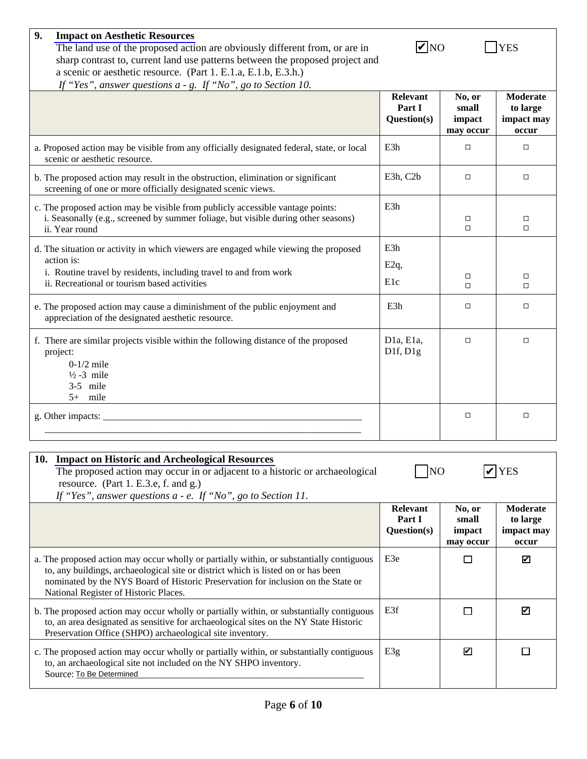| 9.<br><b>Impact on Aesthetic Resources</b><br>The land use of the proposed action are obviously different from, or are in<br>sharp contrast to, current land use patterns between the proposed project and<br>a scenic or aesthetic resource. (Part 1. E.1.a, E.1.b, E.3.h.)<br>If "Yes", answer questions $a - g$ . If "No", go to Section 10. | $\sqrt{\text{NO}}$                |                                        | <b>YES</b>                                  |  |
|-------------------------------------------------------------------------------------------------------------------------------------------------------------------------------------------------------------------------------------------------------------------------------------------------------------------------------------------------|-----------------------------------|----------------------------------------|---------------------------------------------|--|
|                                                                                                                                                                                                                                                                                                                                                 | Relevant<br>Part I<br>Question(s) | No, or<br>small<br>impact<br>may occur | Moderate<br>to large<br>impact may<br>occur |  |
| a. Proposed action may be visible from any officially designated federal, state, or local<br>scenic or aesthetic resource.                                                                                                                                                                                                                      | E3h                               | $\Box$                                 | □                                           |  |
| b. The proposed action may result in the obstruction, elimination or significant<br>screening of one or more officially designated scenic views.                                                                                                                                                                                                | E3h, C2b                          | $\Box$                                 | □                                           |  |
| c. The proposed action may be visible from publicly accessible vantage points:<br>i. Seasonally (e.g., screened by summer foliage, but visible during other seasons)<br>ii. Year round                                                                                                                                                          | E3h                               | $\Box$<br>$\Box$                       | □<br>$\Box$                                 |  |
| d. The situation or activity in which viewers are engaged while viewing the proposed<br>action is:<br>i. Routine travel by residents, including travel to and from work<br>ii. Recreational or tourism based activities                                                                                                                         | E3h<br>$E2q$ ,<br>E <sub>1c</sub> | $\Box$<br>□                            | □<br>□                                      |  |
| e. The proposed action may cause a diminishment of the public enjoyment and<br>appreciation of the designated aesthetic resource.                                                                                                                                                                                                               | E3h                               | □                                      | □                                           |  |
| f. There are similar projects visible within the following distance of the proposed<br>project:<br>$0-1/2$ mile<br>$\frac{1}{2}$ -3 mile<br>$3-5$ mile<br>$5+$ mile                                                                                                                                                                             | D1a, E1a,<br>D1f, D1g             | $\Box$                                 | $\Box$                                      |  |
|                                                                                                                                                                                                                                                                                                                                                 |                                   | □                                      | □                                           |  |
| <b>Impact on Historic and Archeological Resources</b><br>10.<br>The proposed action may occur in or adjacent to a historic or archaeological<br>$ V $ YES<br>N <sub>O</sub><br>resource. (Part 1. E.3.e, f. and g.)<br>If "Yes", answer questions $a - e$ . If "No", go to Section 11.                                                          |                                   |                                        |                                             |  |
|                                                                                                                                                                                                                                                                                                                                                 | Relevant<br>Part I<br>Question(s) | No, or<br>small<br>impact<br>may occur | Moderate<br>to large<br>impact may<br>occur |  |
| a. The proposed action may occur wholly or partially within, or substantially contiguous<br>to, any buildings, archaeological site or district which is listed on or has been<br>nominated by the NYS Board of Historic Preservation for inclusion on the State or<br>National Register of Historic Places.                                     | E3e                               | □                                      | M                                           |  |

| to, an area designated as sensitive for archaeological sites on the NY State Historic<br>Preservation Office (SHPO) archaeological site inventory.                                        |     |  |
|-------------------------------------------------------------------------------------------------------------------------------------------------------------------------------------------|-----|--|
| c. The proposed action may occur wholly or partially within, or substantially contiguous<br>to, an archaeological site not included on the NY SHPO inventory.<br>Source: To Be Determined | E3g |  |

b. The proposed action may occur wholly or partially within, or substantially contiguous  $\begin{array}{ccc} \mid & \text{E3f} \\ \mid & \text{I} \end{array}$ 

✔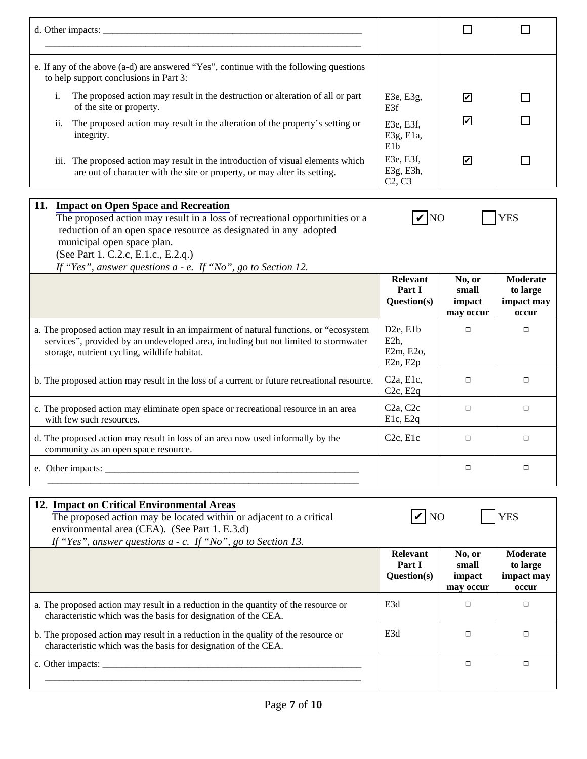| d. Other impacts: $\overline{\phantom{a}}$                                                                                                                                                                                                                                                |                                                                       | $\Box$                                 |                                             |
|-------------------------------------------------------------------------------------------------------------------------------------------------------------------------------------------------------------------------------------------------------------------------------------------|-----------------------------------------------------------------------|----------------------------------------|---------------------------------------------|
| e. If any of the above (a-d) are answered "Yes", continue with the following questions<br>to help support conclusions in Part 3:                                                                                                                                                          |                                                                       |                                        |                                             |
| The proposed action may result in the destruction or alteration of all or part<br>i.<br>of the site or property.                                                                                                                                                                          | E3e, E3g,<br>E3f                                                      | $\blacktriangledown$                   |                                             |
| The proposed action may result in the alteration of the property's setting or<br>ii.<br>integrity.                                                                                                                                                                                        | E3e, E3f,<br>E3g, E1a,<br>E <sub>1</sub> b                            | $\blacktriangledown$                   |                                             |
| The proposed action may result in the introduction of visual elements which<br>iii.<br>are out of character with the site or property, or may alter its setting.                                                                                                                          | E3e, E3f,<br>E3g, E3h,<br>C <sub>2</sub> , C <sub>3</sub>             | $\blacktriangledown$                   |                                             |
| 11. Impact on Open Space and Recreation<br>The proposed action may result in a loss of recreational opportunities or a<br><b>YES</b><br>$\nu$ NO<br>reduction of an open space resource as designated in any adopted<br>municipal open space plan.<br>(See Part 1. C.2.c, E.1.c., E.2.q.) |                                                                       |                                        |                                             |
| If "Yes", answer questions $a - e$ . If "No", go to Section 12.                                                                                                                                                                                                                           | <b>Relevant</b><br>Part I<br>Question(s)                              | No, or<br>small<br>impact<br>may occur | Moderate<br>to large<br>impact may<br>occur |
| a. The proposed action may result in an impairment of natural functions, or "ecosystem"<br>services", provided by an undeveloped area, including but not limited to stormwater<br>storage, nutrient cycling, wildlife habitat.                                                            | D <sub>2</sub> e, E <sub>1b</sub><br>$E2h$ ,<br>E2m, E2o,<br>E2n, E2p | □                                      | $\Box$                                      |
| b. The proposed action may result in the loss of a current or future recreational resource.                                                                                                                                                                                               | C <sub>2</sub> a, E <sub>1c</sub> ,<br>C2c, E2q                       | □                                      | $\Box$                                      |
| c. The proposed action may eliminate open space or recreational resource in an area<br>with few such resources.                                                                                                                                                                           | C <sub>2</sub> a, C <sub>2c</sub><br>E1c, E2q                         | □                                      | $\Box$                                      |
| d. The proposed action may result in loss of an area now used informally by the<br>community as an open space resource.                                                                                                                                                                   | C <sub>2c</sub> , E <sub>1c</sub>                                     | □                                      | $\Box$                                      |
|                                                                                                                                                                                                                                                                                           |                                                                       | □                                      | $\Box$                                      |
| 12. Impact on Critical Environmental Areas<br>$ V $ NO<br><b>YES</b><br>The proposed action may be located within or adjacent to a critical<br>environmental area (CEA). (See Part 1. E.3.d)                                                                                              |                                                                       |                                        |                                             |
| If "Yes", answer questions $a - c$ . If "No", go to Section 13.                                                                                                                                                                                                                           | <b>Relevant</b><br>Part I<br>Question(s)                              | No, or<br>small<br>impact<br>may occur | Moderate<br>to large<br>impact may<br>occur |
| a. The proposed action may result in a reduction in the quantity of the resource or<br>characteristic which was the basis for designation of the CEA.                                                                                                                                     | E3d                                                                   | □                                      | □                                           |
| b. The proposed action may result in a reduction in the quality of the resource or<br>characteristic which was the basis for designation of the CEA.                                                                                                                                      | E3d                                                                   | □                                      | $\Box$                                      |
|                                                                                                                                                                                                                                                                                           |                                                                       | □                                      | $\Box$                                      |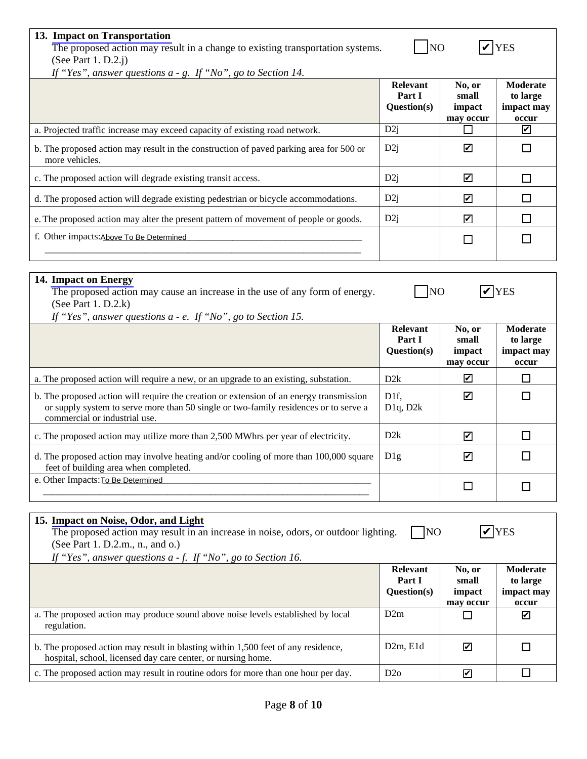| 13. Impact on Transportation<br><b>NO</b><br>The proposed action may result in a change to existing transportation systems.<br><b>YES</b><br>(See Part 1. D.2.j)<br>If "Yes", answer questions $a - g$ . If "No", go to Section 14. |                                          |                                        |                                                    |
|-------------------------------------------------------------------------------------------------------------------------------------------------------------------------------------------------------------------------------------|------------------------------------------|----------------------------------------|----------------------------------------------------|
|                                                                                                                                                                                                                                     | Relevant<br>Part I<br>Question(s)        | No, or<br>small<br>impact<br>may occur | <b>Moderate</b><br>to large<br>impact may<br>occur |
| a. Projected traffic increase may exceed capacity of existing road network.                                                                                                                                                         | D2j                                      | □                                      | ☑                                                  |
| b. The proposed action may result in the construction of paved parking area for 500 or<br>more vehicles.                                                                                                                            | D2j                                      | M                                      | □                                                  |
| c. The proposed action will degrade existing transit access.                                                                                                                                                                        | D2j                                      | ☑                                      | □                                                  |
| d. The proposed action will degrade existing pedestrian or bicycle accommodations.                                                                                                                                                  | D2j                                      | ☑                                      | $\Box$                                             |
| e. The proposed action may alter the present pattern of movement of people or goods.                                                                                                                                                | D2j                                      | ✔                                      | □                                                  |
| f. Other impacts: Above To Be Determined                                                                                                                                                                                            |                                          | □                                      | П                                                  |
|                                                                                                                                                                                                                                     |                                          |                                        |                                                    |
| 14. Impact on Energy<br>NO <sub>1</sub><br>The proposed action may cause an increase in the use of any form of energy.<br>YES<br>(See Part 1. D.2.k)<br>If "Yes", answer questions $a - e$ . If "No", go to Section 15.             |                                          |                                        |                                                    |
|                                                                                                                                                                                                                                     | Relevant<br>Part I<br>Question(s)        | No, or<br>small<br>impact<br>may occur | <b>Moderate</b><br>to large<br>impact may<br>occur |
| a. The proposed action will require a new, or an upgrade to an existing, substation.                                                                                                                                                | D2k                                      | ☑                                      | $\perp$                                            |
| b. The proposed action will require the creation or extension of an energy transmission<br>or supply system to serve more than 50 single or two-family residences or to serve a<br>commercial or industrial use.                    | D <sub>1f</sub><br>$D1q$ , $D2k$         | V                                      | $\mathsf{L}$                                       |
| c. The proposed action may utilize more than 2,500 MWhrs per year of electricity.                                                                                                                                                   | D2k                                      | ☑                                      | $\mathsf{L}$                                       |
| d. The proposed action may involve heating and/or cooling of more than 100,000 square<br>feet of building area when completed.                                                                                                      | D <sub>1g</sub>                          | $\blacktriangledown$                   | $\Box$                                             |
| e. Other Impacts: To Be Determined                                                                                                                                                                                                  |                                          | $\Box$                                 | $\Box$                                             |
|                                                                                                                                                                                                                                     |                                          |                                        |                                                    |
| 15. Impact on Noise, Odor, and Light<br>The proposed action may result in an increase in noise, odors, or outdoor lighting.<br>(See Part 1. D.2.m., n., and o.)<br>If "Yes", answer questions $a - f$ . If "No", go to Section 16.  | NO                                       |                                        | $ V $ YES                                          |
|                                                                                                                                                                                                                                     | <b>Relevant</b><br>Part I<br>Question(s) | No, or<br>small<br>impact<br>may occur | <b>Moderate</b><br>to large<br>impact may<br>occur |
| a. The proposed action may produce sound above noise levels established by local<br>regulation.                                                                                                                                     | D2m                                      | $\Box$                                 | $\blacktriangledown$                               |
| b. The proposed action may result in blasting within 1,500 feet of any residence,<br>hospital, school, licensed day care center, or nursing home.                                                                                   | D <sub>2m</sub> , E <sub>1d</sub>        | V                                      | $\Box$                                             |
| c. The proposed action may result in routine odors for more than one hour per day.                                                                                                                                                  | D2o                                      | ☑                                      | $\Box$                                             |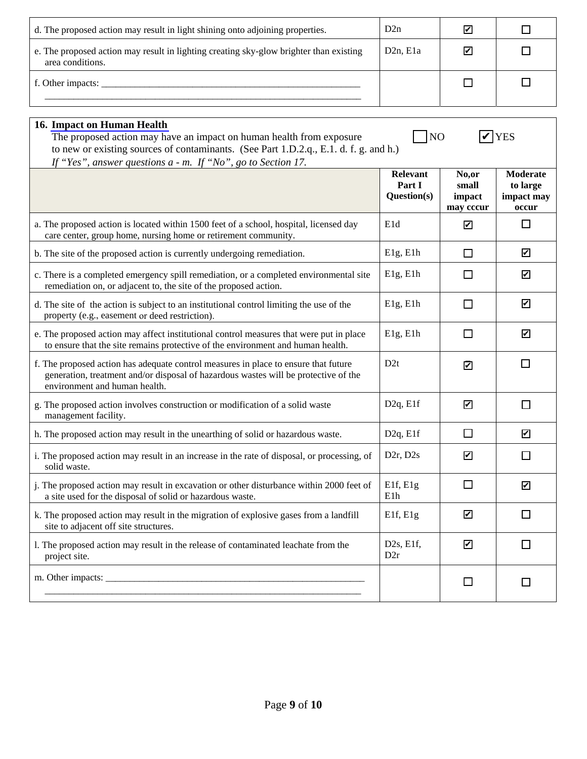| d. The proposed action may result in light shining onto adjoining properties.                              | D2n                     | V |  |
|------------------------------------------------------------------------------------------------------------|-------------------------|---|--|
| e. The proposed action may result in lighting creating sky-glow brighter than existing<br>area conditions. | $D2n$ . E <sub>1a</sub> |   |  |
| f. Other impacts:                                                                                          |                         |   |  |

| 16. Impact on Human Health<br><b>NO</b><br><b>YES</b><br>The proposed action may have an impact on human health from exposure<br>to new or existing sources of contaminants. (See Part 1.D.2.q., E.1. d. f. g. and h.) |                                   |                                       |                                                    |  |
|------------------------------------------------------------------------------------------------------------------------------------------------------------------------------------------------------------------------|-----------------------------------|---------------------------------------|----------------------------------------------------|--|
| If "Yes", answer questions $a$ - m. If "No", go to Section 17.                                                                                                                                                         | Relevant<br>Part I<br>Question(s) | No,or<br>small<br>impact<br>may cccur | <b>Moderate</b><br>to large<br>impact may<br>occur |  |
| a. The proposed action is located within 1500 feet of a school, hospital, licensed day<br>care center, group home, nursing home or retirement community.                                                               | E <sub>1</sub> d                  | ☑                                     | $\Box$                                             |  |
| b. The site of the proposed action is currently undergoing remediation.                                                                                                                                                | E1g, E1h                          | $\Box$                                | M                                                  |  |
| c. There is a completed emergency spill remediation, or a completed environmental site<br>remediation on, or adjacent to, the site of the proposed action.                                                             | E1g, E1h                          | □                                     | $\blacktriangleright$                              |  |
| d. The site of the action is subject to an institutional control limiting the use of the<br>property (e.g., easement or deed restriction).                                                                             | E1g, E1h                          | $\Box$                                | $\blacktriangledown$                               |  |
| e. The proposed action may affect institutional control measures that were put in place<br>to ensure that the site remains protective of the environment and human health.                                             | E1g, E1h                          | ப                                     | $\boldsymbol{\mathcal{C}}$                         |  |
| f. The proposed action has adequate control measures in place to ensure that future<br>generation, treatment and/or disposal of hazardous wastes will be protective of the<br>environment and human health.            | D2t                               | V                                     | П                                                  |  |
| g. The proposed action involves construction or modification of a solid waste<br>management facility.                                                                                                                  | D <sub>2q</sub> , E <sub>1f</sub> | ☑                                     | $\Box$                                             |  |
| h. The proposed action may result in the unearthing of solid or hazardous waste.                                                                                                                                       | D <sub>2</sub> q, E <sub>1f</sub> | $\Box$                                | V                                                  |  |
| i. The proposed action may result in an increase in the rate of disposal, or processing, of<br>solid waste.                                                                                                            | D2r, D2s                          | V                                     | $\Box$                                             |  |
| j. The proposed action may result in excavation or other disturbance within 2000 feet of<br>a site used for the disposal of solid or hazardous waste.                                                                  | E1f, E1g<br>E1h                   | $\Box$                                | $\boldsymbol{\mathcal{C}}$                         |  |
| k. The proposed action may result in the migration of explosive gases from a landfill<br>site to adjacent off site structures.                                                                                         | E1f, E1g                          | ☑                                     | П                                                  |  |
| 1. The proposed action may result in the release of contaminated leachate from the<br>project site.                                                                                                                    | D2s, E1f,<br>D2r                  | V                                     | П                                                  |  |
| m. Other impacts:                                                                                                                                                                                                      |                                   | $\mathbf{I}$                          | П                                                  |  |